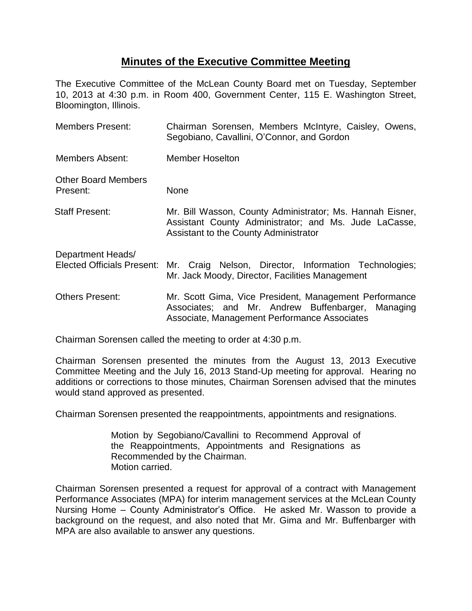## **Minutes of the Executive Committee Meeting**

The Executive Committee of the McLean County Board met on Tuesday, September 10, 2013 at 4:30 p.m. in Room 400, Government Center, 115 E. Washington Street, Bloomington, Illinois.

| <b>Members Present:</b>                                | Chairman Sorensen, Members McIntyre, Caisley, Owens,<br>Segobiano, Cavallini, O'Connor, and Gordon                                                             |
|--------------------------------------------------------|----------------------------------------------------------------------------------------------------------------------------------------------------------------|
| <b>Members Absent:</b>                                 | <b>Member Hoselton</b>                                                                                                                                         |
| <b>Other Board Members</b><br>Present:                 | None                                                                                                                                                           |
| <b>Staff Present:</b>                                  | Mr. Bill Wasson, County Administrator; Ms. Hannah Eisner,<br>Assistant County Administrator; and Ms. Jude LaCasse,<br>Assistant to the County Administrator    |
| Department Heads/<br><b>Elected Officials Present:</b> | Mr. Craig Nelson, Director, Information Technologies;<br>Mr. Jack Moody, Director, Facilities Management                                                       |
| <b>Others Present:</b>                                 | Mr. Scott Gima, Vice President, Management Performance<br>Associates; and Mr. Andrew Buffenbarger,<br>Managing<br>Associate, Management Performance Associates |

Chairman Sorensen called the meeting to order at 4:30 p.m.

Chairman Sorensen presented the minutes from the August 13, 2013 Executive Committee Meeting and the July 16, 2013 Stand-Up meeting for approval. Hearing no additions or corrections to those minutes, Chairman Sorensen advised that the minutes would stand approved as presented.

Chairman Sorensen presented the reappointments, appointments and resignations.

Motion by Segobiano/Cavallini to Recommend Approval of the Reappointments, Appointments and Resignations as Recommended by the Chairman. Motion carried.

Chairman Sorensen presented a request for approval of a contract with Management Performance Associates (MPA) for interim management services at the McLean County Nursing Home – County Administrator's Office. He asked Mr. Wasson to provide a background on the request, and also noted that Mr. Gima and Mr. Buffenbarger with MPA are also available to answer any questions.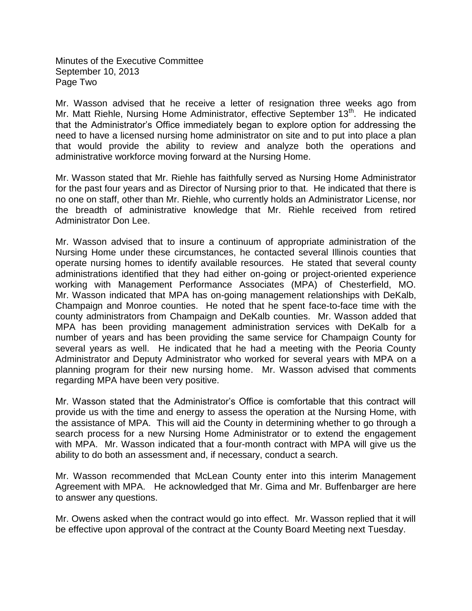Minutes of the Executive Committee September 10, 2013 Page Two

Mr. Wasson advised that he receive a letter of resignation three weeks ago from Mr. Matt Riehle, Nursing Home Administrator, effective September 13<sup>th</sup>. He indicated that the Administrator's Office immediately began to explore option for addressing the need to have a licensed nursing home administrator on site and to put into place a plan that would provide the ability to review and analyze both the operations and administrative workforce moving forward at the Nursing Home.

Mr. Wasson stated that Mr. Riehle has faithfully served as Nursing Home Administrator for the past four years and as Director of Nursing prior to that. He indicated that there is no one on staff, other than Mr. Riehle, who currently holds an Administrator License, nor the breadth of administrative knowledge that Mr. Riehle received from retired Administrator Don Lee.

Mr. Wasson advised that to insure a continuum of appropriate administration of the Nursing Home under these circumstances, he contacted several Illinois counties that operate nursing homes to identify available resources. He stated that several county administrations identified that they had either on-going or project-oriented experience working with Management Performance Associates (MPA) of Chesterfield, MO. Mr. Wasson indicated that MPA has on-going management relationships with DeKalb, Champaign and Monroe counties. He noted that he spent face-to-face time with the county administrators from Champaign and DeKalb counties. Mr. Wasson added that MPA has been providing management administration services with DeKalb for a number of years and has been providing the same service for Champaign County for several years as well. He indicated that he had a meeting with the Peoria County Administrator and Deputy Administrator who worked for several years with MPA on a planning program for their new nursing home. Mr. Wasson advised that comments regarding MPA have been very positive.

Mr. Wasson stated that the Administrator's Office is comfortable that this contract will provide us with the time and energy to assess the operation at the Nursing Home, with the assistance of MPA. This will aid the County in determining whether to go through a search process for a new Nursing Home Administrator or to extend the engagement with MPA. Mr. Wasson indicated that a four-month contract with MPA will give us the ability to do both an assessment and, if necessary, conduct a search.

Mr. Wasson recommended that McLean County enter into this interim Management Agreement with MPA. He acknowledged that Mr. Gima and Mr. Buffenbarger are here to answer any questions.

Mr. Owens asked when the contract would go into effect. Mr. Wasson replied that it will be effective upon approval of the contract at the County Board Meeting next Tuesday.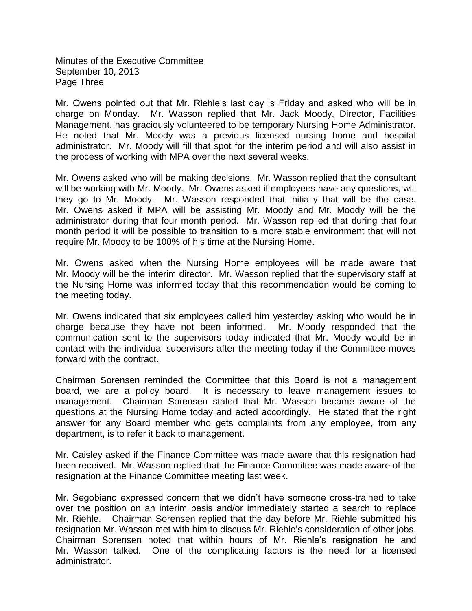Minutes of the Executive Committee September 10, 2013 Page Three

Mr. Owens pointed out that Mr. Riehle's last day is Friday and asked who will be in charge on Monday. Mr. Wasson replied that Mr. Jack Moody, Director, Facilities Management, has graciously volunteered to be temporary Nursing Home Administrator. He noted that Mr. Moody was a previous licensed nursing home and hospital administrator. Mr. Moody will fill that spot for the interim period and will also assist in the process of working with MPA over the next several weeks.

Mr. Owens asked who will be making decisions. Mr. Wasson replied that the consultant will be working with Mr. Moody. Mr. Owens asked if employees have any questions, will they go to Mr. Moody. Mr. Wasson responded that initially that will be the case. Mr. Owens asked if MPA will be assisting Mr. Moody and Mr. Moody will be the administrator during that four month period. Mr. Wasson replied that during that four month period it will be possible to transition to a more stable environment that will not require Mr. Moody to be 100% of his time at the Nursing Home.

Mr. Owens asked when the Nursing Home employees will be made aware that Mr. Moody will be the interim director. Mr. Wasson replied that the supervisory staff at the Nursing Home was informed today that this recommendation would be coming to the meeting today.

Mr. Owens indicated that six employees called him yesterday asking who would be in charge because they have not been informed. Mr. Moody responded that the communication sent to the supervisors today indicated that Mr. Moody would be in contact with the individual supervisors after the meeting today if the Committee moves forward with the contract.

Chairman Sorensen reminded the Committee that this Board is not a management board, we are a policy board. It is necessary to leave management issues to management. Chairman Sorensen stated that Mr. Wasson became aware of the questions at the Nursing Home today and acted accordingly. He stated that the right answer for any Board member who gets complaints from any employee, from any department, is to refer it back to management.

Mr. Caisley asked if the Finance Committee was made aware that this resignation had been received. Mr. Wasson replied that the Finance Committee was made aware of the resignation at the Finance Committee meeting last week.

Mr. Segobiano expressed concern that we didn't have someone cross-trained to take over the position on an interim basis and/or immediately started a search to replace Mr. Riehle. Chairman Sorensen replied that the day before Mr. Riehle submitted his resignation Mr. Wasson met with him to discuss Mr. Riehle's consideration of other jobs. Chairman Sorensen noted that within hours of Mr. Riehle's resignation he and Mr. Wasson talked. One of the complicating factors is the need for a licensed administrator.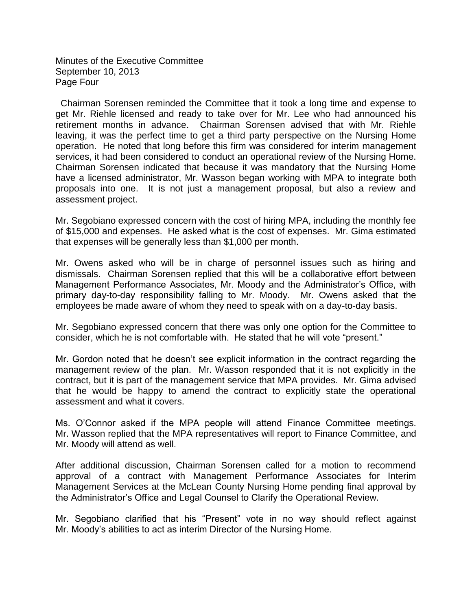Minutes of the Executive Committee September 10, 2013 Page Four

 Chairman Sorensen reminded the Committee that it took a long time and expense to get Mr. Riehle licensed and ready to take over for Mr. Lee who had announced his retirement months in advance. Chairman Sorensen advised that with Mr. Riehle leaving, it was the perfect time to get a third party perspective on the Nursing Home operation. He noted that long before this firm was considered for interim management services, it had been considered to conduct an operational review of the Nursing Home. Chairman Sorensen indicated that because it was mandatory that the Nursing Home have a licensed administrator, Mr. Wasson began working with MPA to integrate both proposals into one. It is not just a management proposal, but also a review and assessment project.

Mr. Segobiano expressed concern with the cost of hiring MPA, including the monthly fee of \$15,000 and expenses. He asked what is the cost of expenses. Mr. Gima estimated that expenses will be generally less than \$1,000 per month.

Mr. Owens asked who will be in charge of personnel issues such as hiring and dismissals. Chairman Sorensen replied that this will be a collaborative effort between Management Performance Associates, Mr. Moody and the Administrator's Office, with primary day-to-day responsibility falling to Mr. Moody. Mr. Owens asked that the employees be made aware of whom they need to speak with on a day-to-day basis.

Mr. Segobiano expressed concern that there was only one option for the Committee to consider, which he is not comfortable with. He stated that he will vote "present."

Mr. Gordon noted that he doesn't see explicit information in the contract regarding the management review of the plan. Mr. Wasson responded that it is not explicitly in the contract, but it is part of the management service that MPA provides. Mr. Gima advised that he would be happy to amend the contract to explicitly state the operational assessment and what it covers.

Ms. O'Connor asked if the MPA people will attend Finance Committee meetings. Mr. Wasson replied that the MPA representatives will report to Finance Committee, and Mr. Moody will attend as well.

After additional discussion, Chairman Sorensen called for a motion to recommend approval of a contract with Management Performance Associates for Interim Management Services at the McLean County Nursing Home pending final approval by the Administrator's Office and Legal Counsel to Clarify the Operational Review.

Mr. Segobiano clarified that his "Present" vote in no way should reflect against Mr. Moody's abilities to act as interim Director of the Nursing Home.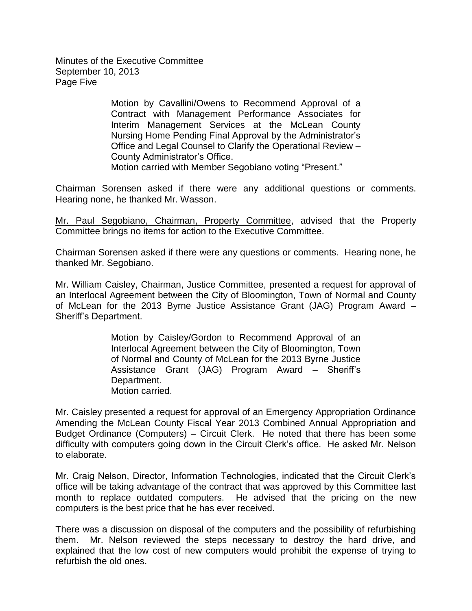Minutes of the Executive Committee September 10, 2013 Page Five

> Motion by Cavallini/Owens to Recommend Approval of a Contract with Management Performance Associates for Interim Management Services at the McLean County Nursing Home Pending Final Approval by the Administrator's Office and Legal Counsel to Clarify the Operational Review – County Administrator's Office. Motion carried with Member Segobiano voting "Present."

Chairman Sorensen asked if there were any additional questions or comments. Hearing none, he thanked Mr. Wasson.

Mr. Paul Segobiano, Chairman, Property Committee, advised that the Property Committee brings no items for action to the Executive Committee.

Chairman Sorensen asked if there were any questions or comments. Hearing none, he thanked Mr. Segobiano.

Mr. William Caisley, Chairman, Justice Committee, presented a request for approval of an Interlocal Agreement between the City of Bloomington, Town of Normal and County of McLean for the 2013 Byrne Justice Assistance Grant (JAG) Program Award – Sheriff's Department.

> Motion by Caisley/Gordon to Recommend Approval of an Interlocal Agreement between the City of Bloomington, Town of Normal and County of McLean for the 2013 Byrne Justice Assistance Grant (JAG) Program Award – Sheriff's Department. Motion carried.

Mr. Caisley presented a request for approval of an Emergency Appropriation Ordinance Amending the McLean County Fiscal Year 2013 Combined Annual Appropriation and Budget Ordinance (Computers) – Circuit Clerk. He noted that there has been some difficulty with computers going down in the Circuit Clerk's office. He asked Mr. Nelson to elaborate.

Mr. Craig Nelson, Director, Information Technologies, indicated that the Circuit Clerk's office will be taking advantage of the contract that was approved by this Committee last month to replace outdated computers. He advised that the pricing on the new computers is the best price that he has ever received.

There was a discussion on disposal of the computers and the possibility of refurbishing them. Mr. Nelson reviewed the steps necessary to destroy the hard drive, and explained that the low cost of new computers would prohibit the expense of trying to refurbish the old ones.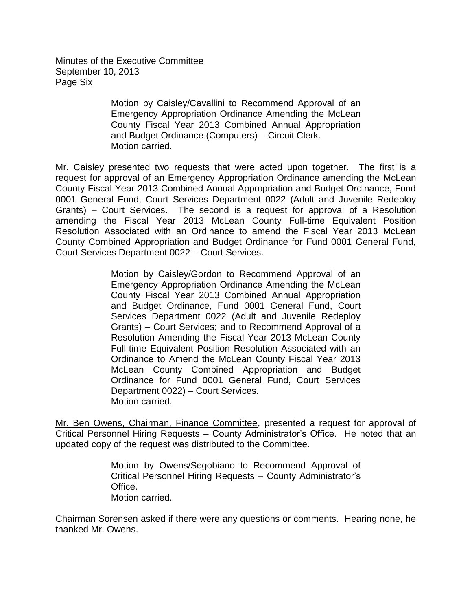Minutes of the Executive Committee September 10, 2013 Page Six

> Motion by Caisley/Cavallini to Recommend Approval of an Emergency Appropriation Ordinance Amending the McLean County Fiscal Year 2013 Combined Annual Appropriation and Budget Ordinance (Computers) – Circuit Clerk. Motion carried.

Mr. Caisley presented two requests that were acted upon together. The first is a request for approval of an Emergency Appropriation Ordinance amending the McLean County Fiscal Year 2013 Combined Annual Appropriation and Budget Ordinance, Fund 0001 General Fund, Court Services Department 0022 (Adult and Juvenile Redeploy Grants) – Court Services. The second is a request for approval of a Resolution amending the Fiscal Year 2013 McLean County Full-time Equivalent Position Resolution Associated with an Ordinance to amend the Fiscal Year 2013 McLean County Combined Appropriation and Budget Ordinance for Fund 0001 General Fund, Court Services Department 0022 – Court Services.

> Motion by Caisley/Gordon to Recommend Approval of an Emergency Appropriation Ordinance Amending the McLean County Fiscal Year 2013 Combined Annual Appropriation and Budget Ordinance, Fund 0001 General Fund, Court Services Department 0022 (Adult and Juvenile Redeploy Grants) – Court Services; and to Recommend Approval of a Resolution Amending the Fiscal Year 2013 McLean County Full-time Equivalent Position Resolution Associated with an Ordinance to Amend the McLean County Fiscal Year 2013 McLean County Combined Appropriation and Budget Ordinance for Fund 0001 General Fund, Court Services Department 0022) – Court Services. Motion carried.

Mr. Ben Owens, Chairman, Finance Committee, presented a request for approval of Critical Personnel Hiring Requests – County Administrator's Office. He noted that an updated copy of the request was distributed to the Committee.

> Motion by Owens/Segobiano to Recommend Approval of Critical Personnel Hiring Requests – County Administrator's Office. Motion carried.

Chairman Sorensen asked if there were any questions or comments. Hearing none, he thanked Mr. Owens.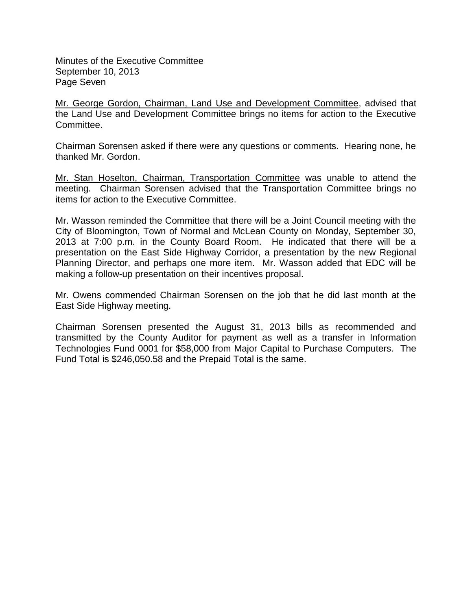Minutes of the Executive Committee September 10, 2013 Page Seven

Mr. George Gordon, Chairman, Land Use and Development Committee, advised that the Land Use and Development Committee brings no items for action to the Executive Committee.

Chairman Sorensen asked if there were any questions or comments. Hearing none, he thanked Mr. Gordon.

Mr. Stan Hoselton, Chairman, Transportation Committee was unable to attend the meeting. Chairman Sorensen advised that the Transportation Committee brings no items for action to the Executive Committee.

Mr. Wasson reminded the Committee that there will be a Joint Council meeting with the City of Bloomington, Town of Normal and McLean County on Monday, September 30, 2013 at 7:00 p.m. in the County Board Room. He indicated that there will be a presentation on the East Side Highway Corridor, a presentation by the new Regional Planning Director, and perhaps one more item. Mr. Wasson added that EDC will be making a follow-up presentation on their incentives proposal.

Mr. Owens commended Chairman Sorensen on the job that he did last month at the East Side Highway meeting.

Chairman Sorensen presented the August 31, 2013 bills as recommended and transmitted by the County Auditor for payment as well as a transfer in Information Technologies Fund 0001 for \$58,000 from Major Capital to Purchase Computers. The Fund Total is \$246,050.58 and the Prepaid Total is the same.